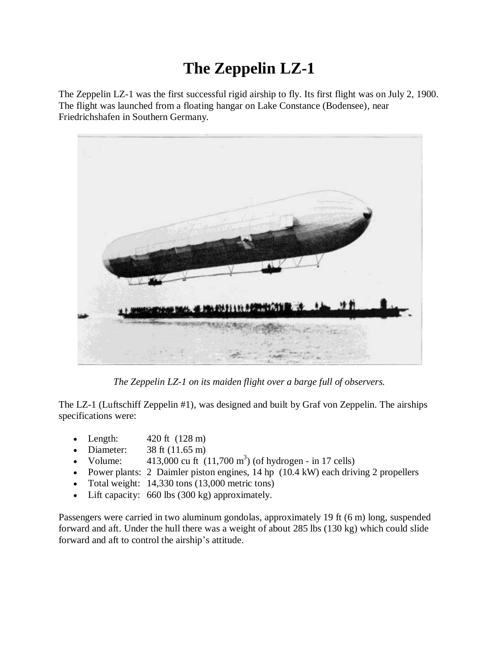## **The Zeppelin LZ-1**

The Zeppelin LZ-1 was the first successful rigid airship to fly. Its first flight was on July 2, 1900. The flight was launched from a floating hangar on Lake Constance (Bodensee), near Friedrichshafen in Southern Germany.



*The Zeppelin LZ-1 on its maiden flight over a barge full of observers.*

The LZ-1 (Luftschiff Zeppelin #1), was designed and built by Graf von Zeppelin. The airships specifications were:

- Length:  $420 \text{ ft} (128 \text{ m})$
- Diameter:  $38 \text{ ft} (11.65 \text{ m})$
- Volume:  $413,000 \text{ cu ft } (11,700 \text{ m}^3)$  (of hydrogen in 17 cells)
- Power plants: 2 Daimler piston engines,  $14 \text{ hp}$  ( $10.4 \text{ kW}$ ) each driving 2 propellers
- Total weight:  $14,330$  tons  $(13,000)$  metric tons)
- Lift capacity: 660 lbs (300 kg) approximately.

Passengers were carried in two aluminum gondolas, approximately 19 ft (6 m) long, suspended forward and aft. Under the hull there was a weight of about 285 lbs (130 kg) which could slide forward and aft to control the airship's attitude.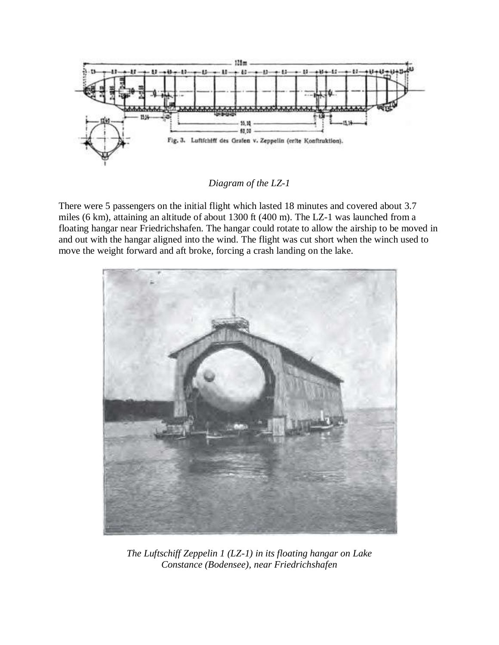

*Diagram of the LZ-1*

There were 5 passengers on the initial flight which lasted 18 minutes and covered about 3.7 miles (6 km), attaining an altitude of about 1300 ft (400 m). The LZ-1 was launched from a floating hangar near Friedrichshafen. The hangar could rotate to allow the airship to be moved in and out with the hangar aligned into the wind. The flight was cut short when the winch used to move the weight forward and aft broke, forcing a crash landing on the lake.



*The Luftschiff Zeppelin 1 (LZ-1) in its floating hangar on Lake Constance (Bodensee), near Friedrichshafen*